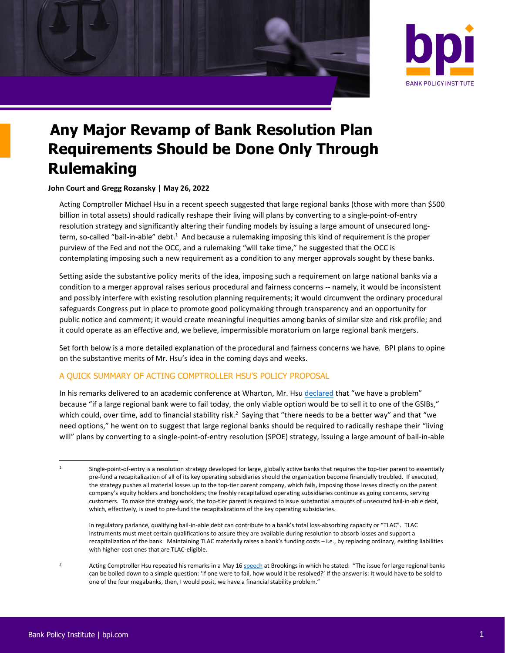



# **Any Major Revamp of Bank Resolution Plan Requirements Should be Done Only Through Rulemaking**

**John Court and Gregg Rozansky | May 26, 2022**

<span id="page-0-0"></span>Acting Comptroller Michael Hsu in a recent speech suggested that large regional banks (those with more than \$500 billion in total assets) should radically reshape their living will plans by converting to a single-point-of-entry resolution strategy and significantly altering their funding models by issuing a large amount of unsecured longterm, so-called "bail-in-able" debt.<sup>1</sup> And because a rulemaking imposing this kind of requirement is the proper purview of the Fed and not the OCC, and a rulemaking "will take time," he suggested that the OCC is contemplating imposing such a new requirement as a condition to any merger approvals sought by these banks.

Setting aside the substantive policy merits of the idea, imposing such a requirement on large national banks via a condition to a merger approval raises serious procedural and fairness concerns -- namely, it would be inconsistent and possibly interfere with existing resolution planning requirements; it would circumvent the ordinary procedural safeguards Congress put in place to promote good policymaking through transparency and an opportunity for public notice and comment; it would create meaningful inequities among banks of similar size and risk profile; and it could operate as an effective and, we believe, impermissible moratorium on large regional bank mergers.

Set forth below is a more detailed explanation of the procedural and fairness concerns we have*.* BPI plans to opine on the substantive merits of Mr. Hsu's idea in the coming days and weeks.

## A QUICK SUMMARY OF ACTING COMPTROLLER HSU'S POLICY PROPOSAL

In his remarks delivered to an academic conference at Wharton, Mr. Hsu [declared](https://www.occ.gov/news-issuances/speeches/2022/pub-speech-2022-33.pdf) that "we have a problem" because "if a large regional bank were to fail today, the only viable option would be to sell it to one of the GSIBs," which could, over time, add to financial stability risk.<sup>2</sup> Saying that "there needs to be a better way" and that "we need options," he went on to suggest that large regional banks should be required to radically reshape their "living will" plans by converting to a single-point-of-entry resolution (SPOE) strategy, issuing a large amount of bail-in-able

Single-point-of-entry is a resolution strategy developed for large, globally active banks that requires the top-tier parent to essentially pre-fund a recapitalization of all of its key operating subsidiaries should the organization become financially troubled. If executed, the strategy pushes all material losses up to the top-tier parent company, which fails, imposing those losses directly on the parent company's equity holders and bondholders; the freshly recapitalized operating subsidiaries continue as going concerns, serving customers. To make the strategy work, the top-tier parent is required to issue substantial amounts of unsecured bail-in-able debt, which, effectively, is used to pre-fund the recapitalizations of the key operating subsidiaries.

In regulatory parlance, qualifying bail-in-able debt can contribute to a bank's total loss-absorbing capacity or "TLAC". TLAC instruments must meet certain qualifications to assure they are available during resolution to absorb losses and support a recapitalization of the bank. Maintaining TLAC materially raises a bank's funding costs – i.e., by replacing ordinary, existing liabilities with higher-cost ones that are TLAC-eligible.

Acting Comptroller Hsu repeated his remarks in a May 1[6 speech](https://www.occ.gov/news-issuances/speeches/2022/pub-speech-2022-49.pdf) at Brookings in which he stated: "The issue for large regional banks can be boiled down to a simple question: 'If one were to fail, how would it be resolved?' If the answer is: It would have to be sold to one of the four megabanks, then, I would posit, we have a financial stability problem."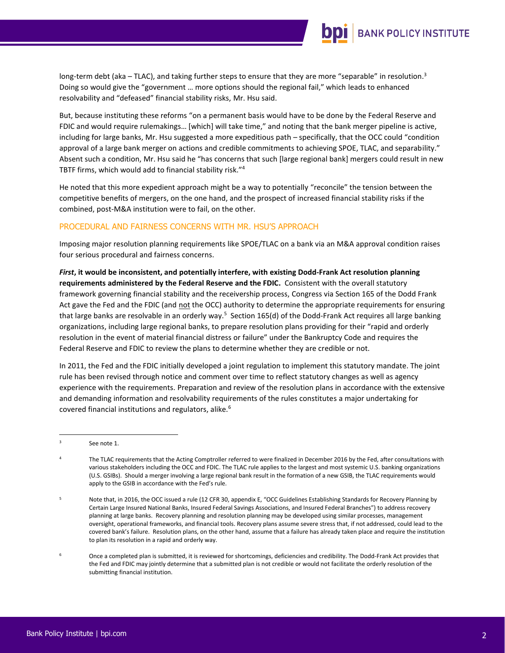

long-term debt (aka – TLAC), and taking further steps to ensure that they are more "separable" in resolution.<sup>3</sup> Doing so would give the "government … more options should the regional fail," which leads to enhanced resolvability and "defeased" financial stability risks, Mr. Hsu said.

But, because instituting these reforms "on a permanent basis would have to be done by the Federal Reserve and FDIC and would require rulemakings… [which] will take time," and noting that the bank merger pipeline is active, including for large banks, Mr. Hsu suggested a more expeditious path – specifically, that the OCC could "condition approval of a large bank merger on actions and credible commitments to achieving SPOE, TLAC, and separability." Absent such a condition, Mr. Hsu said he "has concerns that such [large regional bank] mergers could result in new TBTF firms, which would add to financial stability risk."<sup>4</sup>

He noted that this more expedient approach might be a way to potentially "reconcile" the tension between the competitive benefits of mergers, on the one hand, and the prospect of increased financial stability risks if the combined, post-M&A institution were to fail, on the other.

### PROCEDURAL AND FAIRNESS CONCERNS WITH MR. HSU'S APPROACH

Imposing major resolution planning requirements like SPOE/TLAC on a bank via an M&A approval condition raises four serious procedural and fairness concerns.

*First***, it would be inconsistent, and potentially interfere, with existing Dodd-Frank Act resolution planning requirements administered by the Federal Reserve and the FDIC.** Consistent with the overall statutory framework governing financial stability and the receivership process, Congress via Section 165 of the Dodd Frank Act gave the Fed and the FDIC (and not the OCC) authority to determine the appropriate requirements for ensuring that large banks are resolvable in an orderly way.<sup>5</sup> Section 165(d) of the Dodd-Frank Act requires all large banking organizations, including large regional banks, to prepare resolution plans providing for their "rapid and orderly resolution in the event of material financial distress or failure" under the Bankruptcy Code and requires the Federal Reserve and FDIC to review the plans to determine whether they are credible or not.

In 2011, the Fed and the FDIC initially developed a joint regulation to implement this statutory mandate. The joint rule has been revised through notice and comment over time to reflect statutory changes as well as agency experience with the requirements. Preparation and review of the resolution plans in accordance with the extensive and demanding information and resolvability requirements of the rules constitutes a major undertaking for covered financial institutions and regulators, alike.<sup>6</sup>

See not[e 1.](#page-0-0)

The TLAC requirements that the Acting Comptroller referred to were finalized in December 2016 by the Fed, after consultations with various stakeholders including the OCC and FDIC. The TLAC rule applies to the largest and most systemic U.S. banking organizations (U.S. GSIBs). Should a merger involving a large regional bank result in the formation of a new GSIB, the TLAC requirements would apply to the GSIB in accordance with the Fed's rule.

<sup>5</sup> Note that, in 2016, the OCC issued a rule (12 CFR 30, appendix E, "OCC Guidelines Establishing Standards for Recovery Planning by Certain Large Insured National Banks, Insured Federal Savings Associations, and Insured Federal Branches") to address recovery planning at large banks. Recovery planning and resolution planning may be developed using similar processes, management oversight, operational frameworks, and financial tools. Recovery plans assume severe stress that, if not addressed, could lead to the covered bank's failure. Resolution plans, on the other hand, assume that a failure has already taken place and require the institution to plan its resolution in a rapid and orderly way.

<sup>6</sup> Once a completed plan is submitted, it is reviewed for shortcomings, deficiencies and credibility. The Dodd-Frank Act provides that the Fed and FDIC may jointly determine that a submitted plan is not credible or would not facilitate the orderly resolution of the submitting financial institution.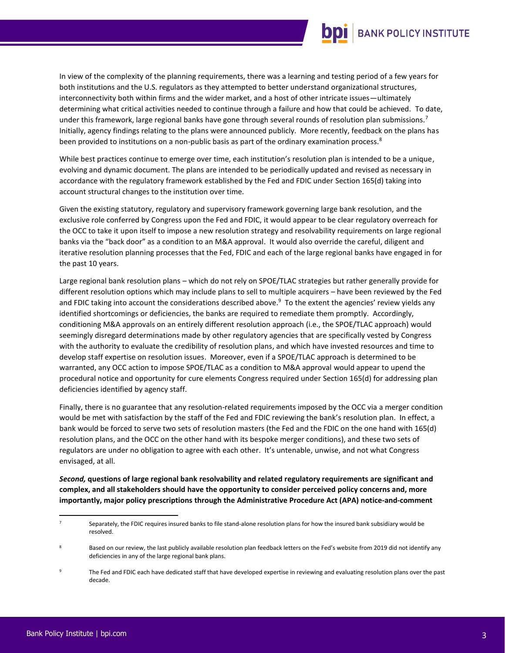

In view of the complexity of the planning requirements, there was a learning and testing period of a few years for both institutions and the U.S. regulators as they attempted to better understand organizational structures, interconnectivity both within firms and the wider market, and a host of other intricate issues—ultimately determining what critical activities needed to continue through a failure and how that could be achieved. To date, under this framework, large regional banks have gone through several rounds of resolution plan submissions.<sup>7</sup> Initially, agency findings relating to the plans were announced publicly. More recently, feedback on the plans has been provided to institutions on a non-public basis as part of the ordinary examination process.<sup>8</sup>

While best practices continue to emerge over time, each institution's resolution plan is intended to be a unique, evolving and dynamic document. The plans are intended to be periodically updated and revised as necessary in accordance with the regulatory framework established by the Fed and FDIC under Section 165(d) taking into account structural changes to the institution over time.

Given the existing statutory, regulatory and supervisory framework governing large bank resolution, and the exclusive role conferred by Congress upon the Fed and FDIC, it would appear to be clear regulatory overreach for the OCC to take it upon itself to impose a new resolution strategy and resolvability requirements on large regional banks via the "back door" as a condition to an M&A approval. It would also override the careful, diligent and iterative resolution planning processes that the Fed, FDIC and each of the large regional banks have engaged in for the past 10 years.

Large regional bank resolution plans – which do not rely on SPOE/TLAC strategies but rather generally provide for different resolution options which may include plans to sell to multiple acquirers – have been reviewed by the Fed and FDIC taking into account the considerations described above.<sup>9</sup> To the extent the agencies' review yields any identified shortcomings or deficiencies, the banks are required to remediate them promptly. Accordingly, conditioning M&A approvals on an entirely different resolution approach (i.e., the SPOE/TLAC approach) would seemingly disregard determinations made by other regulatory agencies that are specifically vested by Congress with the authority to evaluate the credibility of resolution plans, and which have invested resources and time to develop staff expertise on resolution issues. Moreover, even if a SPOE/TLAC approach is determined to be warranted, any OCC action to impose SPOE/TLAC as a condition to M&A approval would appear to upend the procedural notice and opportunity for cure elements Congress required under Section 165(d) for addressing plan deficiencies identified by agency staff.

Finally, there is no guarantee that any resolution-related requirements imposed by the OCC via a merger condition would be met with satisfaction by the staff of the Fed and FDIC reviewing the bank's resolution plan. In effect, a bank would be forced to serve two sets of resolution masters (the Fed and the FDIC on the one hand with 165(d) resolution plans, and the OCC on the other hand with its bespoke merger conditions), and these two sets of regulators are under no obligation to agree with each other. It's untenable, unwise, and not what Congress envisaged, at all.

*Second,* **questions of large regional bank resolvability and related regulatory requirements are significant and complex, and all stakeholders should have the opportunity to consider perceived policy concerns and, more importantly, major policy prescriptions through the Administrative Procedure Act (APA) notice-and-comment** 

Separately, the FDIC requires insured banks to file stand-alone resolution plans for how the insured bank subsidiary would be resolved.

Based on our review, the last publicly available resolution plan feedback letters on the Fed's website from 2019 did not identify any deficiencies in any of the large regional bank plans.

The Fed and FDIC each have dedicated staff that have developed expertise in reviewing and evaluating resolution plans over the past decade.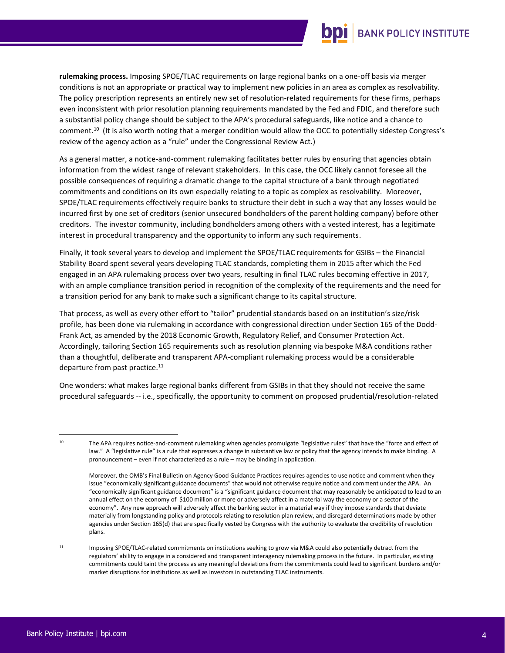# **BANK POLICY INSTITUTE**

**rulemaking process.** Imposing SPOE/TLAC requirements on large regional banks on a one-off basis via merger conditions is not an appropriate or practical way to implement new policies in an area as complex as resolvability. The policy prescription represents an entirely new set of resolution-related requirements for these firms, perhaps even inconsistent with prior resolution planning requirements mandated by the Fed and FDIC, and therefore such a substantial policy change should be subject to the APA's procedural safeguards, like notice and a chance to comment.<sup>10</sup> (It is also worth noting that a merger condition would allow the OCC to potentially sidestep Congress's review of the agency action as a "rule" under the Congressional Review Act.)

As a general matter, a notice-and-comment rulemaking facilitates better rules by ensuring that agencies obtain information from the widest range of relevant stakeholders. In this case, the OCC likely cannot foresee all the possible consequences of requiring a dramatic change to the capital structure of a bank through negotiated commitments and conditions on its own especially relating to a topic as complex as resolvability. Moreover, SPOE/TLAC requirements effectively require banks to structure their debt in such a way that any losses would be incurred first by one set of creditors (senior unsecured bondholders of the parent holding company) before other creditors. The investor community, including bondholders among others with a vested interest, has a legitimate interest in procedural transparency and the opportunity to inform any such requirements.

Finally, it took several years to develop and implement the SPOE/TLAC requirements for GSIBs – the Financial Stability Board spent several years developing TLAC standards, completing them in 2015 after which the Fed engaged in an APA rulemaking process over two years, resulting in final TLAC rules becoming effective in 2017, with an ample compliance transition period in recognition of the complexity of the requirements and the need for a transition period for any bank to make such a significant change to its capital structure.

That process, as well as every other effort to "tailor" prudential standards based on an institution's size/risk profile, has been done via rulemaking in accordance with congressional direction under Section 165 of the Dodd-Frank Act, as amended by the 2018 Economic Growth, Regulatory Relief, and Consumer Protection Act. Accordingly, tailoring Section 165 requirements such as resolution planning via bespoke M&A conditions rather than a thoughtful, deliberate and transparent APA-compliant rulemaking process would be a considerable departure from past practice.<sup>11</sup>

One wonders: what makes large regional banks different from GSIBs in that they should not receive the same procedural safeguards -- i.e., specifically, the opportunity to comment on proposed prudential/resolution-related

<sup>11</sup> Imposing SPOE/TLAC-related commitments on institutions seeking to grow via M&A could also potentially detract from the regulators' ability to engage in a considered and transparent interagency rulemaking process in the future. In particular, existing commitments could taint the process as any meaningful deviations from the commitments could lead to significant burdens and/or market disruptions for institutions as well as investors in outstanding TLAC instruments.

<sup>&</sup>lt;sup>10</sup> The APA requires notice-and-comment rulemaking when agencies promulgate "legislative rules" that have the "force and effect of law." A "legislative rule" is a rule that expresses a change in substantive law or policy that the agency intends to make binding. A pronouncement – even if not characterized as a rule – may be binding in application.

Moreover, the OMB's Final Bulletin on Agency Good Guidance Practices requires agencies to use notice and comment when they issue "economically significant guidance documents" that would not otherwise require notice and comment under the APA. An "economically significant guidance document" is a "significant guidance document that may reasonably be anticipated to lead to an annual effect on the economy of \$100 million or more or adversely affect in a material way the economy or a sector of the economy". Any new approach will adversely affect the banking sector in a material way if they impose standards that deviate materially from longstanding policy and protocols relating to resolution plan review, and disregard determinations made by other agencies under Section 165(d) that are specifically vested by Congress with the authority to evaluate the credibility of resolution plans.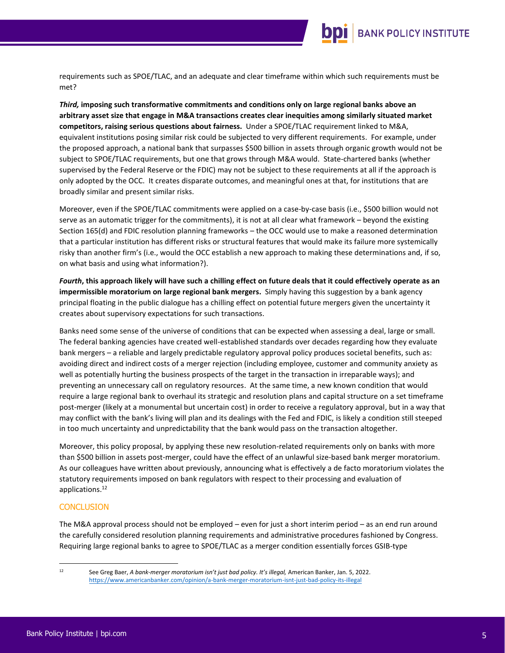

requirements such as SPOE/TLAC, and an adequate and clear timeframe within which such requirements must be met?

*Third,* **imposing such transformative commitments and conditions only on large regional banks above an arbitrary asset size that engage in M&A transactions creates clear inequities among similarly situated market competitors, raising serious questions about fairness.** Under a SPOE/TLAC requirement linked to M&A, equivalent institutions posing similar risk could be subjected to very different requirements. For example, under the proposed approach, a national bank that surpasses \$500 billion in assets through organic growth would not be subject to SPOE/TLAC requirements, but one that grows through M&A would. State-chartered banks (whether supervised by the Federal Reserve or the FDIC) may not be subject to these requirements at all if the approach is only adopted by the OCC. It creates disparate outcomes, and meaningful ones at that, for institutions that are broadly similar and present similar risks.

Moreover, even if the SPOE/TLAC commitments were applied on a case-by-case basis (i.e., \$500 billion would not serve as an automatic trigger for the commitments), it is not at all clear what framework – beyond the existing Section 165(d) and FDIC resolution planning frameworks – the OCC would use to make a reasoned determination that a particular institution has different risks or structural features that would make its failure more systemically risky than another firm's (i.e., would the OCC establish a new approach to making these determinations and, if so, on what basis and using what information?).

*Fourth***, this approach likely will have such a chilling effect on future deals that it could effectively operate as an impermissible moratorium on large regional bank mergers.** Simply having this suggestion by a bank agency principal floating in the public dialogue has a chilling effect on potential future mergers given the uncertainty it creates about supervisory expectations for such transactions.

Banks need some sense of the universe of conditions that can be expected when assessing a deal, large or small. The federal banking agencies have created well-established standards over decades regarding how they evaluate bank mergers – a reliable and largely predictable regulatory approval policy produces societal benefits, such as: avoiding direct and indirect costs of a merger rejection (including employee, customer and community anxiety as well as potentially hurting the business prospects of the target in the transaction in irreparable ways); and preventing an unnecessary call on regulatory resources. At the same time, a new known condition that would require a large regional bank to overhaul its strategic and resolution plans and capital structure on a set timeframe post-merger (likely at a monumental but uncertain cost) in order to receive a regulatory approval, but in a way that may conflict with the bank's living will plan and its dealings with the Fed and FDIC, is likely a condition still steeped in too much uncertainty and unpredictability that the bank would pass on the transaction altogether.

Moreover, this policy proposal, by applying these new resolution-related requirements only on banks with more than \$500 billion in assets post-merger, could have the effect of an unlawful size-based bank merger moratorium. As our colleagues have written about previously, announcing what is effectively a de facto moratorium violates the statutory requirements imposed on bank regulators with respect to their processing and evaluation of applications.<sup>12</sup>

#### **CONCLUSION**

The M&A approval process should not be employed – even for just a short interim period – as an end run around the carefully considered resolution planning requirements and administrative procedures fashioned by Congress. Requiring large regional banks to agree to SPOE/TLAC as a merger condition essentially forces GSIB-type

<sup>12</sup> See Greg Baer, *A bank-merger moratorium isn't just bad policy. It's illegal,* American Banker, Jan. 5, 2022. <https://www.americanbanker.com/opinion/a-bank-merger-moratorium-isnt-just-bad-policy-its-illegal>